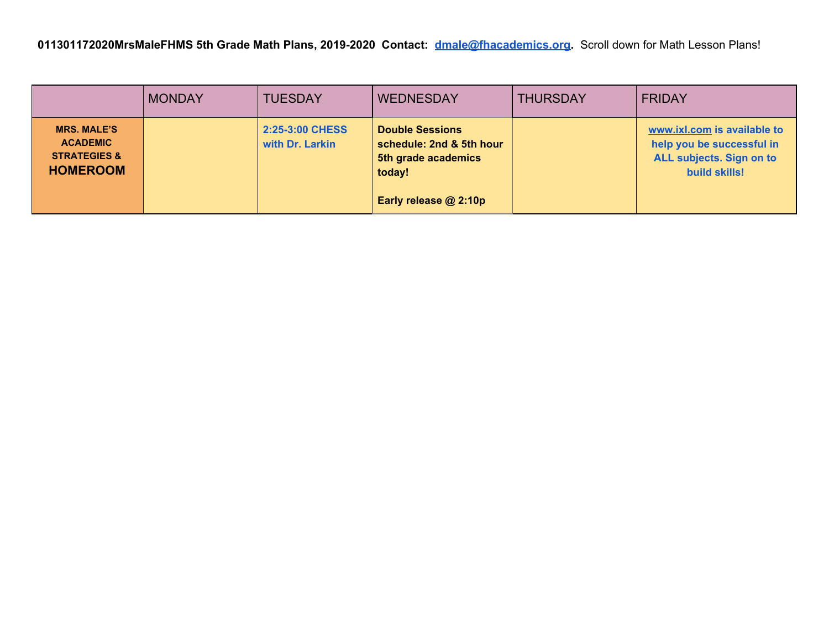|                                                                                     | <b>MONDAY</b> | <b>TUESDAY</b>                     | <b>WEDNESDAY</b>                                                                    | <b>THURSDAY</b> | <b>FRIDAY</b>                                                                                                |
|-------------------------------------------------------------------------------------|---------------|------------------------------------|-------------------------------------------------------------------------------------|-----------------|--------------------------------------------------------------------------------------------------------------|
| <b>MRS. MALE'S</b><br><b>ACADEMIC</b><br><b>STRATEGIES &amp;</b><br><b>HOMEROOM</b> |               | 2:25-3:00 CHESS<br>with Dr. Larkin | <b>Double Sessions</b><br>schedule: 2nd & 5th hour<br>5th grade academics<br>today! |                 | www.ixl.com is available to<br>help you be successful in<br>ALL subjects. Sign on to<br><b>build skills!</b> |
|                                                                                     |               |                                    | Early release @ 2:10p                                                               |                 |                                                                                                              |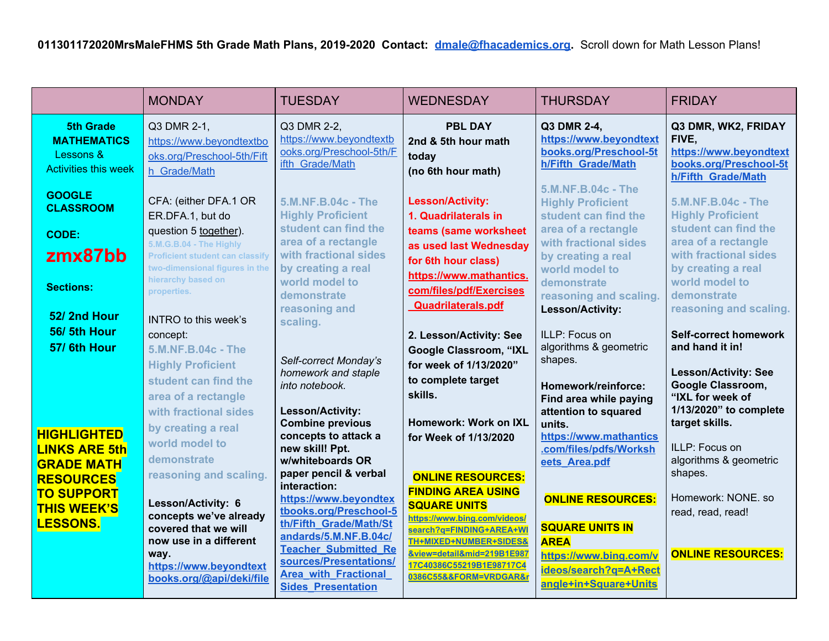|                                                                                    | <b>MONDAY</b>                                                                                                                                              | <b>TUESDAY</b>                                                                                                                                                                                       | <b>WEDNESDAY</b>                                                                                                                                                                                                          | <b>THURSDAY</b>                                                                                                      | <b>FRIDAY</b>                                                                                          |
|------------------------------------------------------------------------------------|------------------------------------------------------------------------------------------------------------------------------------------------------------|------------------------------------------------------------------------------------------------------------------------------------------------------------------------------------------------------|---------------------------------------------------------------------------------------------------------------------------------------------------------------------------------------------------------------------------|----------------------------------------------------------------------------------------------------------------------|--------------------------------------------------------------------------------------------------------|
| <b>5th Grade</b><br><b>MATHEMATICS</b><br>Lessons &<br><b>Activities this week</b> | Q3 DMR 2-1,<br>https://www.beyondtextbo<br>oks.org/Preschool-5th/Fift<br>h Grade/Math                                                                      | Q3 DMR 2-2,<br>https://www.beyondtextb<br>ooks.org/Preschool-5th/F<br>ifth Grade/Math                                                                                                                | <b>PBL DAY</b><br>2nd & 5th hour math<br>today<br>(no 6th hour math)                                                                                                                                                      | Q3 DMR 2-4,<br>https://www.beyondtext<br>books.org/Preschool-5t<br>h/Fifth Grade/Math                                | Q3 DMR, WK2, FRIDAY<br>FIVE,<br>https://www.beyondtext<br>books.org/Preschool-5t<br>h/Fifth Grade/Math |
| <b>GOOGLE</b><br><b>CLASSROOM</b><br><b>CODE:</b>                                  | CFA: (either DFA.1 OR<br>ER.DFA.1, but do<br>question 5 together).                                                                                         | 5.M.NF.B.04c - The<br><b>Highly Proficient</b><br>student can find the                                                                                                                               | <b>Lesson/Activity:</b><br>1. Quadrilaterals in<br>teams (same worksheet                                                                                                                                                  | 5.M.NF.B.04c - The<br><b>Highly Proficient</b><br>student can find the<br>area of a rectangle                        | 5.M.NF.B.04c - The<br><b>Highly Proficient</b><br>student can find the                                 |
| zmx87bb<br><b>Sections:</b>                                                        | 5.M.G.B.04 - The Highly<br><b>Proficient student can classify</b><br>two-dimensional figures in the<br>hierarchy based on<br>properties.                   | area of a rectangle<br>with fractional sides<br>by creating a real<br>world model to<br>demonstrate                                                                                                  | as used last Wednesday<br>for 6th hour class)<br>https://www.mathantics.<br>com/files/pdf/Exercises                                                                                                                       | with fractional sides<br>by creating a real<br>world model to<br>demonstrate<br>reasoning and scaling.               | area of a rectangle<br>with fractional sides<br>by creating a real<br>world model to<br>demonstrate    |
| 52/2nd Hour<br>56/5th Hour<br>57/6th Hour                                          | <b>INTRO</b> to this week's<br>concept:<br>5.M.NF.B.04c - The                                                                                              | reasoning and<br>scaling.                                                                                                                                                                            | <b>Quadrilaterals.pdf</b><br>2. Lesson/Activity: See<br>Google Classroom, "IXL                                                                                                                                            | Lesson/Activity:<br>ILLP: Focus on<br>algorithms & geometric                                                         | reasoning and scaling.<br><b>Self-correct homework</b><br>and hand it in!                              |
|                                                                                    | <b>Highly Proficient</b><br>student can find the<br>area of a rectangle<br>with fractional sides                                                           | Self-correct Monday's<br>homework and staple<br>into notebook.<br>Lesson/Activity:                                                                                                                   | for week of 1/13/2020"<br>to complete target<br>skills.                                                                                                                                                                   | shapes.<br>Homework/reinforce:<br>Find area while paying                                                             | <b>Lesson/Activity: See</b><br>Google Classroom,<br>"IXL for week of<br>1/13/2020" to complete         |
| <b>HIGHLIGHTED</b><br><b>LINKS ARE 5th</b><br><b>GRADE MATH</b>                    | by creating a real<br>world model to<br>demonstrate                                                                                                        | <b>Combine previous</b><br>concepts to attack a<br>new skill! Ppt.<br>w/whiteboards OR                                                                                                               | Homework: Work on IXL<br>for Week of 1/13/2020                                                                                                                                                                            | attention to squared<br>units.<br>https://www.mathantics<br>.com/files/pdfs/Worksh<br>eets Area.pdf                  | target skills.<br>ILLP: Focus on<br>algorithms & geometric                                             |
| <b>RESOURCES</b><br><b>TO SUPPORT</b><br><b>THIS WEEK'S</b><br><b>LESSONS.</b>     | reasoning and scaling.<br>Lesson/Activity: 6<br>concepts we've already<br>covered that we will<br>now use in a different<br>way.<br>https://www.beyondtext | paper pencil & verbal<br>interaction:<br>https://www.beyondtex<br>tbooks.org/Preschool-5<br>th/Fifth Grade/Math/St<br>andards/5.M.NF.B.04c/<br><b>Teacher Submitted Re</b><br>sources/Presentations/ | <b>ONLINE RESOURCES:</b><br><b>FINDING AREA USING</b><br><b>SQUARE UNITS</b><br>https://www.bing.com/videos/<br>search?q=FINDING+AREA+WI<br>TH+MIXED+NUMBER+SIDES&<br>&view=detail∣=219B1E987<br>17C40386C55219B1E98717C4 | <b>ONLINE RESOURCES:</b><br><b>SQUARE UNITS IN</b><br><b>AREA</b><br>https://www.bing.com/v<br>ideos/search?q=A+Rect | shapes.<br>Homework: NONE, so<br>read, read, read!<br><b>ONLINE RESOURCES:</b>                         |
|                                                                                    | books.org/@api/deki/file                                                                                                                                   | <b>Area with Fractional</b><br><b>Sides Presentation</b>                                                                                                                                             | 0386C55&&FORM=VRDGAR&r                                                                                                                                                                                                    | angle+in+Square+Units                                                                                                |                                                                                                        |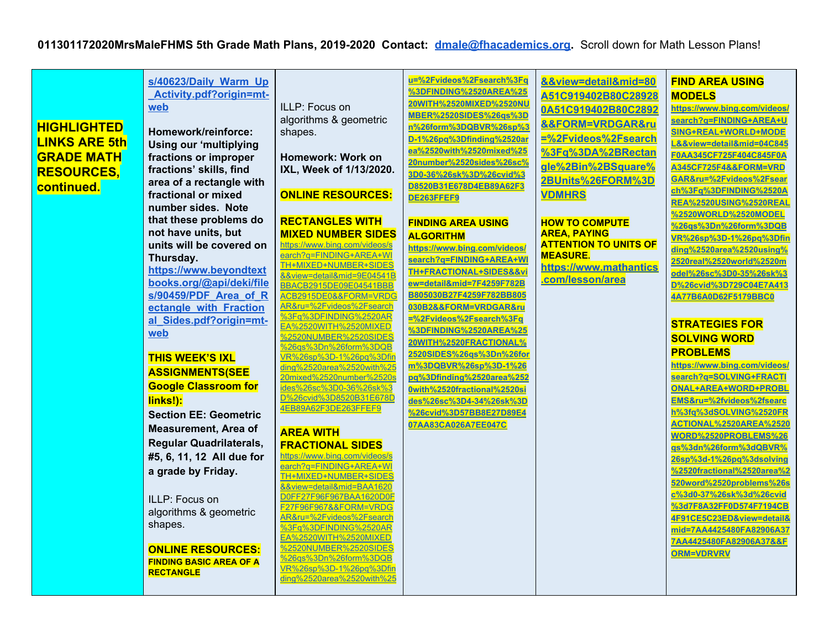| <b>HIGHLIGHTED</b><br><b>LINKS ARE 5th</b><br><b>GRADE MATH</b><br><b>RESOURCES,</b><br>continued.<br><b>ONLINE RESOURCES:</b><br><b>FINDING BASIC AREA OF A</b> | s/40623/Daily Warm Up<br>Activity.pdf?origin=mt-<br>web<br>Homework/reinforce:<br><b>Using our 'multiplying</b><br>fractions or improper<br>fractions' skills, find<br>area of a rectangle with<br>fractional or mixed<br>number sides. Note<br>that these problems do<br>not have units, but<br>units will be covered on<br>Thursday.<br>https://www.beyondtext<br>books.org/@api/deki/file<br>s/90459/PDF Area of R<br>ectangle with Fraction<br>al Sides.pdf?origin=mt-<br>web<br><b>THIS WEEK'S IXL</b><br><b>ASSIGNMENTS(SEE</b><br><b>Google Classroom for</b><br>links!):<br><b>Section EE: Geometric</b><br><b>Measurement, Area of</b><br><b>Regular Quadrilaterals,</b><br>#5, 6, 11, 12 All due for<br>a grade by Friday.<br>ILLP: Focus on<br>algorithms & geometric<br>shapes. | ILLP: Focus on<br>algorithms & geometric<br>shapes.<br>Homework: Work on<br>IXL, Week of 1/13/2020.<br><b>ONLINE RESOURCES:</b><br><b>RECTANGLES WITH</b><br><b>MIXED NUMBER SIDES</b><br>https://www.bing.com/videos/s<br>earch?q=FINDING+AREA+WI<br>TH+MIXED+NUMBER+SIDES<br>&&view=detail∣=9E04541B<br><b>BBACB2915DE09E04541BBB</b><br>ACB2915DF0&&FORM=VRDG<br>AR&ru=%2Fvideos%2Fsearch<br>%3Fq%3DFINDING%2520AR<br>EA%2520WITH%2520MIXED<br>%2520NUMBER%2520SIDES<br>%26gs%3Dn%26form%3DQB<br>VR%26sp%3D-1%26pq%3Dfil<br>ding%2520area%2520with%25<br>20mixed%2520number%2520s<br>ides%26sc%3D0-36%26sk%3<br>D%26cvid%3D8520B31E678D<br>4EB89A62F3DE263FFEF9<br><b>AREA WITH</b><br><b>FRACTIONAL SIDES</b><br>https://www.bing.com/videos/s<br>earch?q=FINDING+AREA+WI<br>TH+MIXED+NUMBER+SIDES<br>&&view=detail∣=BAA1620<br>D0FF27F96F967BAA1620D0F<br>F27F96F967&&FORM=VRDG<br>AR&ru=%2Fvideos%2Fsearch<br>%3Fa%3DFINDING%2520AR<br>EA%2520WITH%2520MIXED | u=%2Fvideos%2Fsearch%3Fq<br>%3DFINDING%2520AREA%25<br>20WITH%2520MIXED%2520NU<br>MBER%2520SIDES%26gs%3D<br>n%26form%3DQBVR%26sp%3<br>D-1%26pq%3Dfinding%2520ar<br>ea%2520with%2520mixed%25<br>20number%2520sides%26sc%<br>3D0-36%26sk%3D%26cvid%3<br>D8520B31E678D4EB89A62F3<br>DE263FFEF9<br><b>FINDING AREA USING</b><br><b>ALGORITHM</b><br>https://www.bing.com/videos/<br>search?q=FINDING+AREA+WI<br>TH+FRACTIONAL+SIDES&&vi<br>ew=detail∣=7F4259F782B<br>B805030B27F4259F782BB805<br>030B2&&FORM=VRDGAR&ru<br>=%2Fvideos%2Fsearch%3Fq<br>%3DFINDING%2520AREA%25<br>20WITH%2520FRACTIONAL%<br>2520SIDES%26gs%3Dn%26for<br>m%3DQBVR%26sp%3D-1%26<br>pq%3Dfinding%2520area%252<br>0with%2520fractional%2520si<br>des%26sc%3D4-34%26sk%3D<br>%26cvid%3D57BB8E27D89E4<br>07AA83CA026A7EE047C | &&view=detail∣=80<br>A51C919402B80C28928<br>0A51C919402B80C2892<br><b>&amp;&amp;FORM=VRDGAR&amp;ru</b><br>=%2Fvideos%2Fsearch<br>%3Fq%3DA%2BRectan<br>gle%2Bin%2BSquare%<br>2BUnits%26FORM%3D<br><b>VDMHRS</b><br><b>HOW TO COMPUTE</b><br><b>AREA, PAYING</b><br><b>ATTENTION TO UNITS OF</b><br><b>MEASURE.</b><br>https://www.mathantics<br>.com/lesson/area | <b>FIND AREA USING</b><br><b>MODELS</b><br>https://www.bing.com/videos/<br>search?q=FINDING+AREA+U<br>SING+REAL+WORLD+MODE<br>L&&view=detail∣=04C845<br>F0AA345CF725F404C845F0A<br>A345CF725F4&&FORM=VRD<br>GAR&ru=%2Fvideos%2Fsear<br>ch%3Fq%3DFINDING%2520A<br>REA%2520USING%2520REAL<br>%2520WORLD%2520MODEL<br>%26qs%3Dn%26form%3DQB<br>VR%26sp%3D-1%26pq%3Dfin<br>ding%2520area%2520using%<br>2520real%2520world%2520m<br>odel%26sc%3D0-35%26sk%3<br>D%26cvid%3D729C04E7A413<br>4A77B6A0D62F5179BBC0<br><b>STRATEGIES FOR</b><br><b>SOLVING WORD</b><br><b>PROBLEMS</b><br>https://www.bing.com/videos/<br>search?q=SOLVING+FRACTI<br>ONAL+AREA+WORD+PROBL<br>EMS&ru=%2fvideos%2fsearc<br>h%3fq%3dSOLVING%2520FR<br>ACTIONAL%2520AREA%2520<br>WORD%2520PROBLEMS%26<br>qs%3dn%26form%3dQBVR%<br>26sp%3d-1%26pq%3dsolving<br>%2520fractional%2520area%2<br>520word%2520problems%26s<br>c%3d0-37%26sk%3d%26cvid<br>%3d7F8A32FF0D574F7194CB<br>4F91CE5C23ED&view=detail&<br>mid=7AA4425480FA82906A37<br>7AA4425480FA82906A37&&F |
|------------------------------------------------------------------------------------------------------------------------------------------------------------------|---------------------------------------------------------------------------------------------------------------------------------------------------------------------------------------------------------------------------------------------------------------------------------------------------------------------------------------------------------------------------------------------------------------------------------------------------------------------------------------------------------------------------------------------------------------------------------------------------------------------------------------------------------------------------------------------------------------------------------------------------------------------------------------------|--------------------------------------------------------------------------------------------------------------------------------------------------------------------------------------------------------------------------------------------------------------------------------------------------------------------------------------------------------------------------------------------------------------------------------------------------------------------------------------------------------------------------------------------------------------------------------------------------------------------------------------------------------------------------------------------------------------------------------------------------------------------------------------------------------------------------------------------------------------------------------------------------------------------------------------------------------------------|------------------------------------------------------------------------------------------------------------------------------------------------------------------------------------------------------------------------------------------------------------------------------------------------------------------------------------------------------------------------------------------------------------------------------------------------------------------------------------------------------------------------------------------------------------------------------------------------------------------------------------------------------------------------------------------------------------------------------------------------------------------------------------------------|-----------------------------------------------------------------------------------------------------------------------------------------------------------------------------------------------------------------------------------------------------------------------------------------------------------------------------------------------------------------|----------------------------------------------------------------------------------------------------------------------------------------------------------------------------------------------------------------------------------------------------------------------------------------------------------------------------------------------------------------------------------------------------------------------------------------------------------------------------------------------------------------------------------------------------------------------------------------------------------------------------------------------------------------------------------------------------------------------------------------------------------------------------------------------------------------------------------------------------------------------------------------------------------------------------------------------------------------------------------------------------------------------------------|
|------------------------------------------------------------------------------------------------------------------------------------------------------------------|---------------------------------------------------------------------------------------------------------------------------------------------------------------------------------------------------------------------------------------------------------------------------------------------------------------------------------------------------------------------------------------------------------------------------------------------------------------------------------------------------------------------------------------------------------------------------------------------------------------------------------------------------------------------------------------------------------------------------------------------------------------------------------------------|--------------------------------------------------------------------------------------------------------------------------------------------------------------------------------------------------------------------------------------------------------------------------------------------------------------------------------------------------------------------------------------------------------------------------------------------------------------------------------------------------------------------------------------------------------------------------------------------------------------------------------------------------------------------------------------------------------------------------------------------------------------------------------------------------------------------------------------------------------------------------------------------------------------------------------------------------------------------|------------------------------------------------------------------------------------------------------------------------------------------------------------------------------------------------------------------------------------------------------------------------------------------------------------------------------------------------------------------------------------------------------------------------------------------------------------------------------------------------------------------------------------------------------------------------------------------------------------------------------------------------------------------------------------------------------------------------------------------------------------------------------------------------|-----------------------------------------------------------------------------------------------------------------------------------------------------------------------------------------------------------------------------------------------------------------------------------------------------------------------------------------------------------------|----------------------------------------------------------------------------------------------------------------------------------------------------------------------------------------------------------------------------------------------------------------------------------------------------------------------------------------------------------------------------------------------------------------------------------------------------------------------------------------------------------------------------------------------------------------------------------------------------------------------------------------------------------------------------------------------------------------------------------------------------------------------------------------------------------------------------------------------------------------------------------------------------------------------------------------------------------------------------------------------------------------------------------|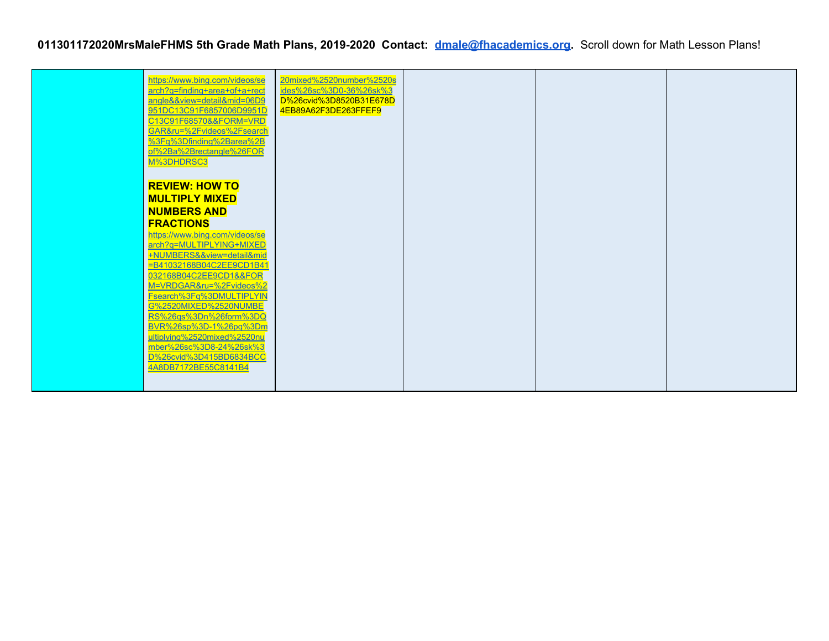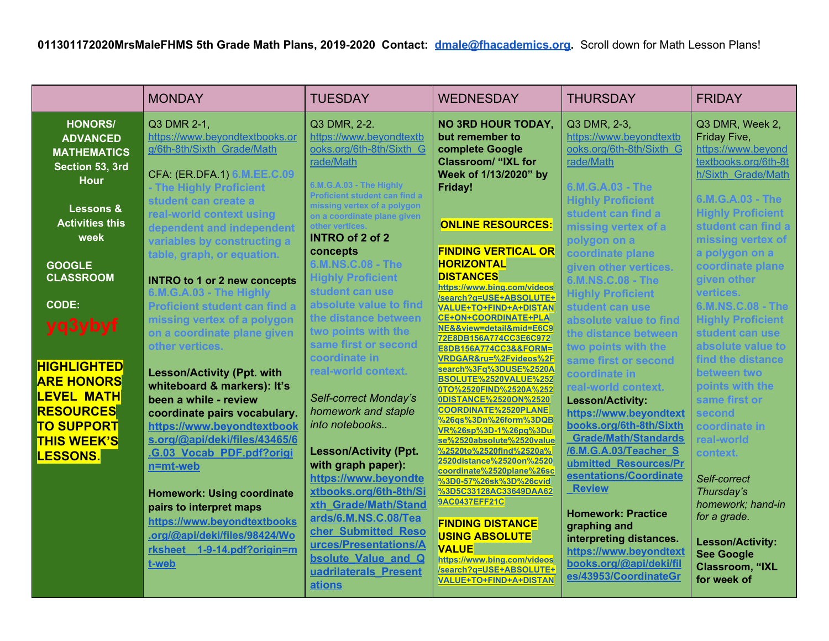|                                                                                                                                                  | <b>MONDAY</b>                                                                                                                                                                                                                                                                                                        | <b>TUESDAY</b>                                                                                                                                                                                                                                                               | <b>WEDNESDAY</b>                                                                                                                                                                                                                                                                                                                                                                                                      | <b>THURSDAY</b>                                                                                                                                                                                                                                                                                                  | <b>FRIDAY</b>                                                                                                                                                                                                                  |
|--------------------------------------------------------------------------------------------------------------------------------------------------|----------------------------------------------------------------------------------------------------------------------------------------------------------------------------------------------------------------------------------------------------------------------------------------------------------------------|------------------------------------------------------------------------------------------------------------------------------------------------------------------------------------------------------------------------------------------------------------------------------|-----------------------------------------------------------------------------------------------------------------------------------------------------------------------------------------------------------------------------------------------------------------------------------------------------------------------------------------------------------------------------------------------------------------------|------------------------------------------------------------------------------------------------------------------------------------------------------------------------------------------------------------------------------------------------------------------------------------------------------------------|--------------------------------------------------------------------------------------------------------------------------------------------------------------------------------------------------------------------------------|
| <b>HONORS/</b><br><b>ADVANCED</b><br><b>MATHEMATICS</b><br>Section 53, 3rd<br><b>Hour</b><br>Lessons &<br><b>Activities this</b><br>week         | Q3 DMR 2-1,<br>https://www.beyondtextbooks.or<br>g/6th-8th/Sixth Grade/Math<br>CFA: (ER.DFA.1) 6.M.EE.C.09<br>- The Highly Proficient<br>student can create a<br>real-world context using<br>dependent and independent<br>variables by constructing a<br>table, graph, or equation.                                  | Q3 DMR, 2-2.<br>https://www.beyondtextb<br>ooks.org/6th-8th/Sixth G<br>rade/Math<br>6.M.G.A.03 - The Highly<br><b>Proficient student can find a</b><br>missing vertex of a polvgon<br>on a coordinate plane given<br>other vertices.<br><b>INTRO of 2 of 2</b><br>concepts   | <b>NO 3RD HOUR TODAY,</b><br>but remember to<br>complete Google<br><b>Classroom/ "IXL for</b><br>Week of 1/13/2020" by<br>Friday!<br><b>ONLINE RESOURCES:</b><br><b>FINDING VERTICAL OR</b>                                                                                                                                                                                                                           | Q3 DMR, 2-3,<br>https://www.beyondtextb<br>ooks.org/6th-8th/Sixth G<br>rade/Math<br>6.M.G.A.03 - The<br><b>Highly Proficient</b><br>student can find a<br>missing vertex of a<br>polygon on a<br>coordinate plane                                                                                                | Q3 DMR, Week 2,<br>Friday Five,<br>https://www.beyond<br>textbooks.org/6th-8t<br>h/Sixth Grade/Math<br>6.M.G.A.03 - The<br><b>Highly Proficient</b><br>student can find a<br>missing vertex of<br>a polygon on a               |
| <b>GOOGLE</b><br><b>CLASSROOM</b><br><b>CODE:</b><br>yq3ybyf<br><b>HIGHLIGHTED</b><br><b>ARE HONORS</b><br><b>LEVEL MATH</b><br><b>RESOURCES</b> | <b>INTRO to 1 or 2 new concepts</b><br>6.M.G.A.03 - The Highly<br><b>Proficient student can find a</b><br>missing vertex of a polygon<br>on a coordinate plane given<br>other vertices.<br><b>Lesson/Activity (Ppt. with</b><br>whiteboard & markers): It's<br>been a while - review<br>coordinate pairs vocabulary. | 6.M.NS.C.08 - The<br><b>Highly Proficient</b><br>student can use<br>absolute value to find<br>the distance between<br>two points with the<br>same first or second<br>coordinate in<br>real-world context.<br>Self-correct Monday's<br>homework and staple<br>into notebooks  | <b>HORIZONTAL</b><br><b>DISTANCES</b><br>https://www.bing.com/videos<br>/search?q=USE+ABSOLUTE+<br>VALUE+TO+FIND+A+DISTAN<br>CE+ON+COORDINATE+PLA<br>NE&&view=detail∣=E6C9<br>72E8DB156A774CC3E6C972<br>E8DB156A774CC3&&FORM=<br>VRDGAR&ru=%2Fvideos%2F<br>search%3Fq%3DUSE%2520A<br>BSOLUTE%2520VALUE%252<br>0TO%2520FIND%2520A%252<br>0DISTANCE%2520ON%2520<br><b>COORDINATE%2520PLANE</b><br>%26gs%3Dn%26form%3DQB | given other vertices.<br>6.M.NS.C.08 - The<br><b>Highly Proficient</b><br>student can use<br>absolute value to find<br>the distance between<br>two points with the<br>same first or second<br>coordinate in<br>real-world context.<br><b>Lesson/Activity:</b><br>https://www.beyondtext                          | coordinate plane<br>given other<br>vertices.<br>6.M.NS.C.08 - The<br><b>Highly Proficient</b><br>student can use<br>absolute value to<br>find the distance<br>between two<br>points with the<br>same first or<br><b>second</b> |
| <b>TO SUPPORT</b><br><b>THIS WEEK'S</b><br><b>LESSONS.</b>                                                                                       | https://www.beyondtextbook<br>s.org/@api/deki/files/43465/6<br>.G.03 Vocab PDF.pdf?origi<br>n=mt-web<br><b>Homework: Using coordinate</b><br>pairs to interpret maps<br>https://www.beyondtextbooks<br>.org/@api/deki/files/98424/Wo<br>rksheet 1-9-14.pdf?origin=m<br>t-web                                         | <b>Lesson/Activity (Ppt.</b><br>with graph paper):<br>https://www.beyondte<br>xtbooks.org/6th-8th/Si<br>xth Grade/Math/Stand<br>ards/6.M.NS.C.08/Tea<br>cher Submitted Reso<br>urces/Presentations/A<br><b>bsolute Value and Q</b><br>uadrilaterals Present<br><b>ations</b> | VR%26sp%3D-1%26pq%3Du<br>se%2520absolute%2520value<br>%2520to%2520find%2520a%<br>2520distance%2520on%2520<br>coordinate%2520plane%26sc<br>%3D0-57%26sk%3D%26cvid<br>%3D5C33128AC33649DAA62<br>9AC0437EFF21C<br><b>FINDING DISTANCE</b><br><b>USING ABSOLUTE</b><br><b>VALUE</b><br>https://www.bing.com/videos<br>/search?q=USE+ABSOLUTE+<br><b>VALUE+TO+FIND+A+DISTAN</b>                                            | books.org/6th-8th/Sixth<br><b>Grade/Math/Standards</b><br><b>/6.M.G.A.03/Teacher S</b><br>ubmitted Resources/Pr<br>esentations/Coordinate<br><b>Review</b><br><b>Homework: Practice</b><br>graphing and<br>interpreting distances.<br>https://www.beyondtext<br>books.org/@api/deki/fil<br>es/43953/CoordinateGr | coordinate in<br>real-world<br>context.<br>Self-correct<br>Thursday's<br>homework; hand-in<br>for a grade.<br><b>Lesson/Activity:</b><br><b>See Google</b><br><b>Classroom, "IXL</b><br>for week of                            |